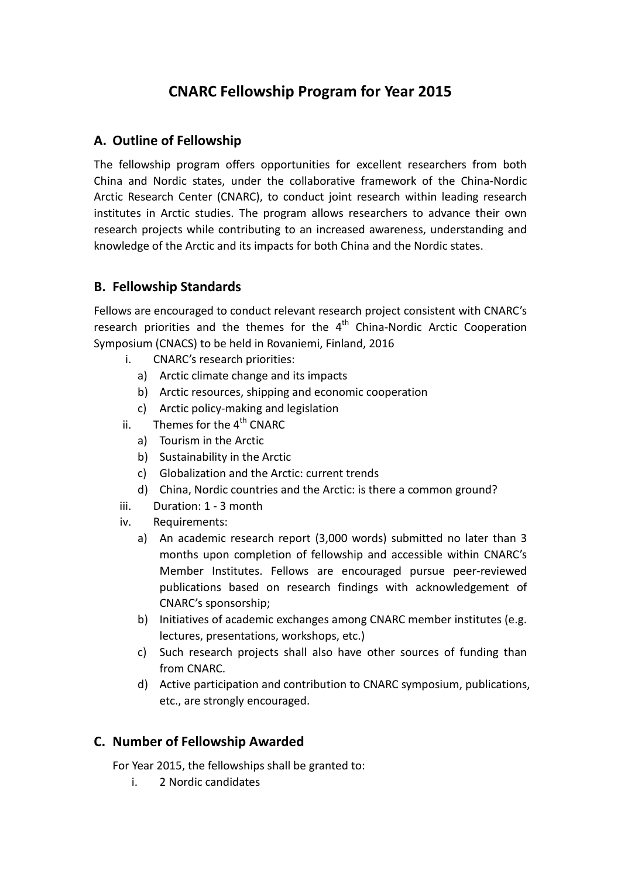# **CNARC Fellowship Program for Year 2015**

## **A. Outline of Fellowship**

The fellowship program offers opportunities for excellent researchers from both China and Nordic states, under the collaborative framework of the China-Nordic Arctic Research Center (CNARC), to conduct joint research within leading research institutes in Arctic studies. The program allows researchers to advance their own research projects while contributing to an increased awareness, understanding and knowledge of the Arctic and its impacts for both China and the Nordic states.

## **B. Fellowship Standards**

Fellows are encouraged to conduct relevant research project consistent with CNARC's research priorities and the themes for the  $4<sup>th</sup>$  China-Nordic Arctic Cooperation Symposium (CNACS) to be held in Rovaniemi, Finland, 2016

- i. CNARC's research priorities:
	- a) Arctic climate change and its impacts
	- b) Arctic resources, shipping and economic cooperation
	- c) Arctic policy-making and legislation
- ii. Themes for the  $4<sup>th</sup>$  CNARC
	- a) Tourism in the Arctic
	- b) Sustainability in the Arctic
	- c) Globalization and the Arctic: current trends
	- d) China, Nordic countries and the Arctic: is there a common ground?
- iii. Duration: 1 3 month
- iv. Requirements:
	- a) An academic research report (3,000 words) submitted no later than 3 months upon completion of fellowship and accessible within CNARC's Member Institutes. Fellows are encouraged pursue peer-reviewed publications based on research findings with acknowledgement of CNARC's sponsorship;
	- b) Initiatives of academic exchanges among CNARC member institutes (e.g. lectures, presentations, workshops, etc.)
	- c) Such research projects shall also have other sources of funding than from CNARC.
	- d) Active participation and contribution to CNARC symposium, publications, etc., are strongly encouraged.

## **C. Number of Fellowship Awarded**

For Year 2015, the fellowships shall be granted to:

i. 2 Nordic candidates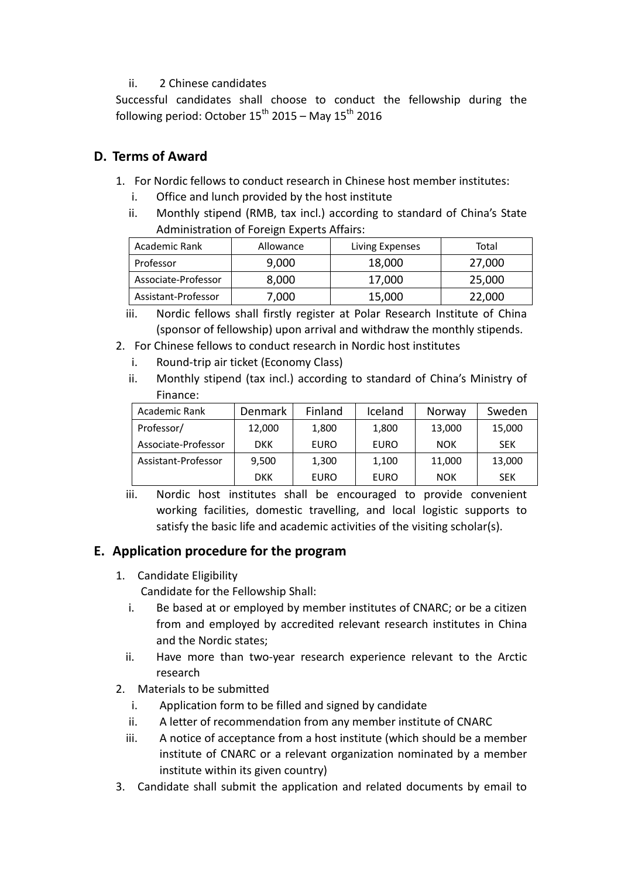#### ii. 2 Chinese candidates

Successful candidates shall choose to conduct the fellowship during the following period: October  $15^{th}$  2015 – May  $15^{th}$  2016

## **D. Terms of Award**

- 1. For Nordic fellows to conduct research in Chinese host member institutes:
	- i. Office and lunch provided by the host institute
	- ii. Monthly stipend (RMB, tax incl.) according to standard of China's State Administration of Foreign Experts Affairs:

| Academic Rank       | Allowance | Living Expenses | Total  |
|---------------------|-----------|-----------------|--------|
| Professor           | 9,000     | 18,000          | 27,000 |
| Associate-Professor | 8,000     | 17,000          | 25,000 |
| Assistant-Professor | 7,000     | 15,000          | 22,000 |

iii. Nordic fellows shall firstly register at Polar Research Institute of China (sponsor of fellowship) upon arrival and withdraw the monthly stipends.

- 2. For Chinese fellows to conduct research in Nordic host institutes
	- i. Round-trip air ticket (Economy Class)
	- ii. Monthly stipend (tax incl.) according to standard of China's Ministry of Finance:

| Academic Rank       | Denmark    | Finland | Iceland     | Norway     | Sweden     |
|---------------------|------------|---------|-------------|------------|------------|
| Professor/          | 12,000     | 1,800   | 1,800       | 13,000     | 15,000     |
| Associate-Professor | <b>DKK</b> | EURO    | <b>EURO</b> | <b>NOK</b> | <b>SEK</b> |
| Assistant-Professor | 9,500      | 1,300   | 1,100       | 11,000     | 13,000     |
|                     | <b>DKK</b> | EURO    | <b>EURO</b> | <b>NOK</b> | <b>SEK</b> |

iii. Nordic host institutes shall be encouraged to provide convenient working facilities, domestic travelling, and local logistic supports to satisfy the basic life and academic activities of the visiting scholar(s).

# **E. Application procedure for the program**

1. Candidate Eligibility

Candidate for the Fellowship Shall:

- i. Be based at or employed by member institutes of CNARC; or be a citizen from and employed by accredited relevant research institutes in China and the Nordic states;
- ii. Have more than two-year research experience relevant to the Arctic research
- 2. Materials to be submitted
	- i. Application form to be filled and signed by candidate
	- ii. A letter of recommendation from any member institute of CNARC
	- iii. A notice of acceptance from a host institute (which should be a member institute of CNARC or a relevant organization nominated by a member institute within its given country)
- 3. Candidate shall submit the application and related documents by email to